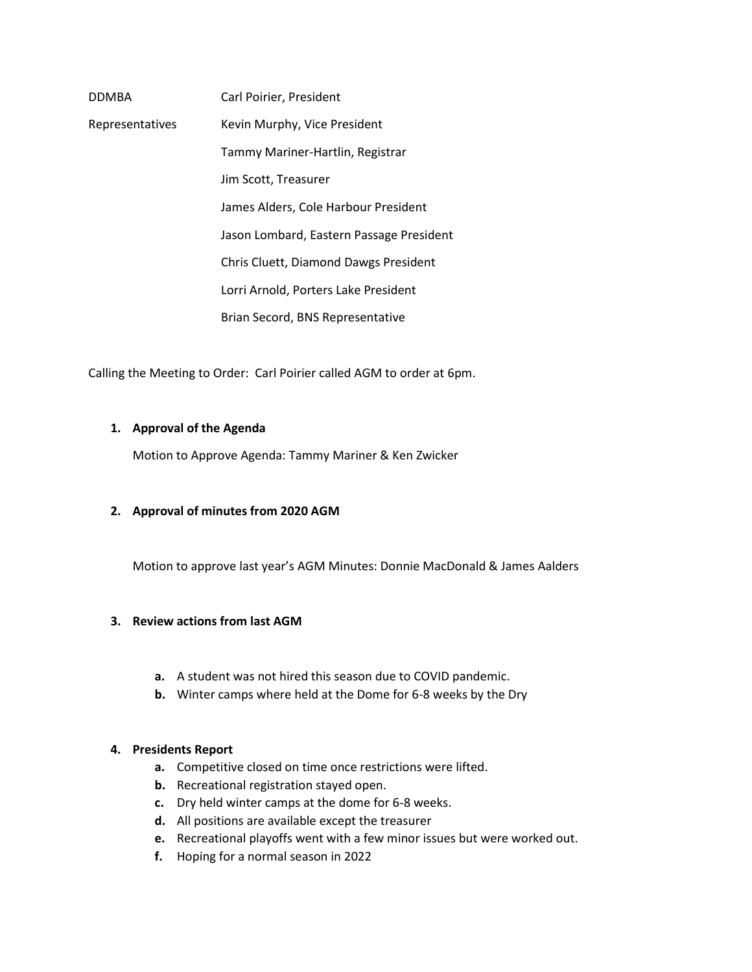| <b>DDMBA</b>    | Carl Poirier, President                  |
|-----------------|------------------------------------------|
| Representatives | Kevin Murphy, Vice President             |
|                 | Tammy Mariner-Hartlin, Registrar         |
|                 | Jim Scott, Treasurer                     |
|                 | James Alders, Cole Harbour President     |
|                 | Jason Lombard, Eastern Passage President |
|                 | Chris Cluett, Diamond Dawgs President    |
|                 | Lorri Arnold, Porters Lake President     |
|                 | Brian Secord, BNS Representative         |

Calling the Meeting to Order: Carl Poirier called AGM to order at 6pm.

#### **1. Approval of the Agenda**

Motion to Approve Agenda: Tammy Mariner & Ken Zwicker

#### **2. Approval of minutes from 2020 AGM**

Motion to approve last year's AGM Minutes: Donnie MacDonald & James Aalders

#### **3. Review actions from last AGM**

- **a.** A student was not hired this season due to COVID pandemic.
- **b.** Winter camps where held at the Dome for 6-8 weeks by the Dry

#### **4. Presidents Report**

- **a.** Competitive closed on time once restrictions were lifted.
- **b.** Recreational registration stayed open.
- **c.** Dry held winter camps at the dome for 6-8 weeks.
- **d.** All positions are available except the treasurer
- **e.** Recreational playoffs went with a few minor issues but were worked out.
- **f.** Hoping for a normal season in 2022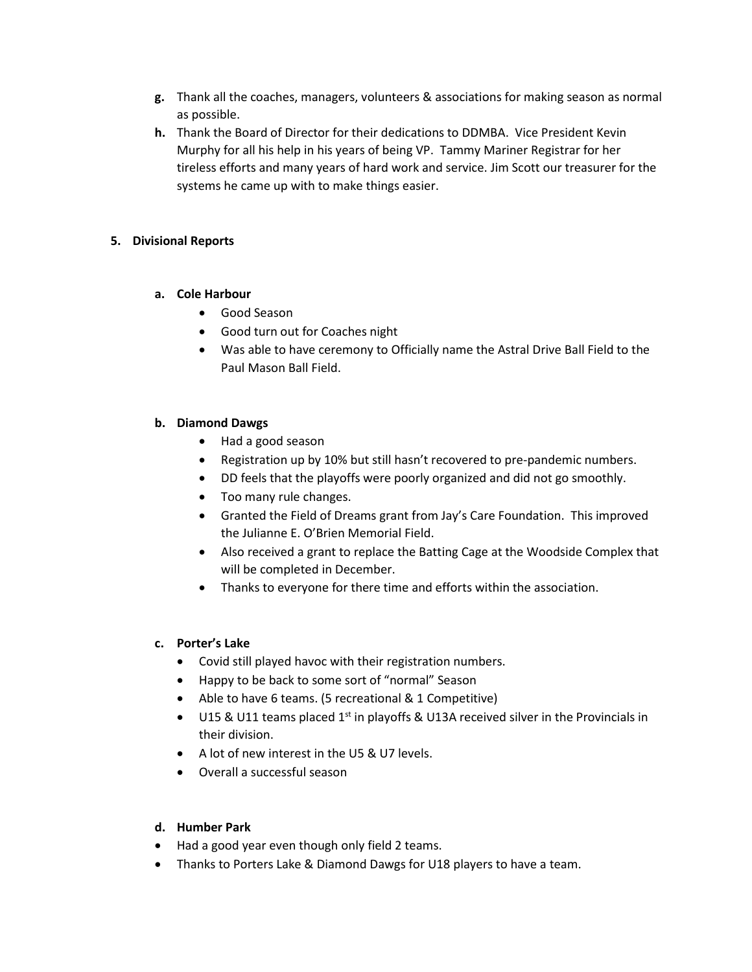- **g.** Thank all the coaches, managers, volunteers & associations for making season as normal as possible.
- **h.** Thank the Board of Director for their dedications to DDMBA. Vice President Kevin Murphy for all his help in his years of being VP. Tammy Mariner Registrar for her tireless efforts and many years of hard work and service. Jim Scott our treasurer for the systems he came up with to make things easier.

## **5. Divisional Reports**

## **a. Cole Harbour**

- Good Season
- Good turn out for Coaches night
- Was able to have ceremony to Officially name the Astral Drive Ball Field to the Paul Mason Ball Field.

# **b. Diamond Dawgs**

- Had a good season
- Registration up by 10% but still hasn't recovered to pre-pandemic numbers.
- DD feels that the playoffs were poorly organized and did not go smoothly.
- Too many rule changes.
- Granted the Field of Dreams grant from Jay's Care Foundation. This improved the Julianne E. O'Brien Memorial Field.
- Also received a grant to replace the Batting Cage at the Woodside Complex that will be completed in December.
- Thanks to everyone for there time and efforts within the association.

# **c. Porter's Lake**

- Covid still played havoc with their registration numbers.
- Happy to be back to some sort of "normal" Season
- Able to have 6 teams. (5 recreational & 1 Competitive)
- U15 & U11 teams placed  $1<sup>st</sup>$  in playoffs & U13A received silver in the Provincials in their division.
- A lot of new interest in the U5 & U7 levels.
- Overall a successful season

# **d. Humber Park**

- Had a good year even though only field 2 teams.
- Thanks to Porters Lake & Diamond Dawgs for U18 players to have a team.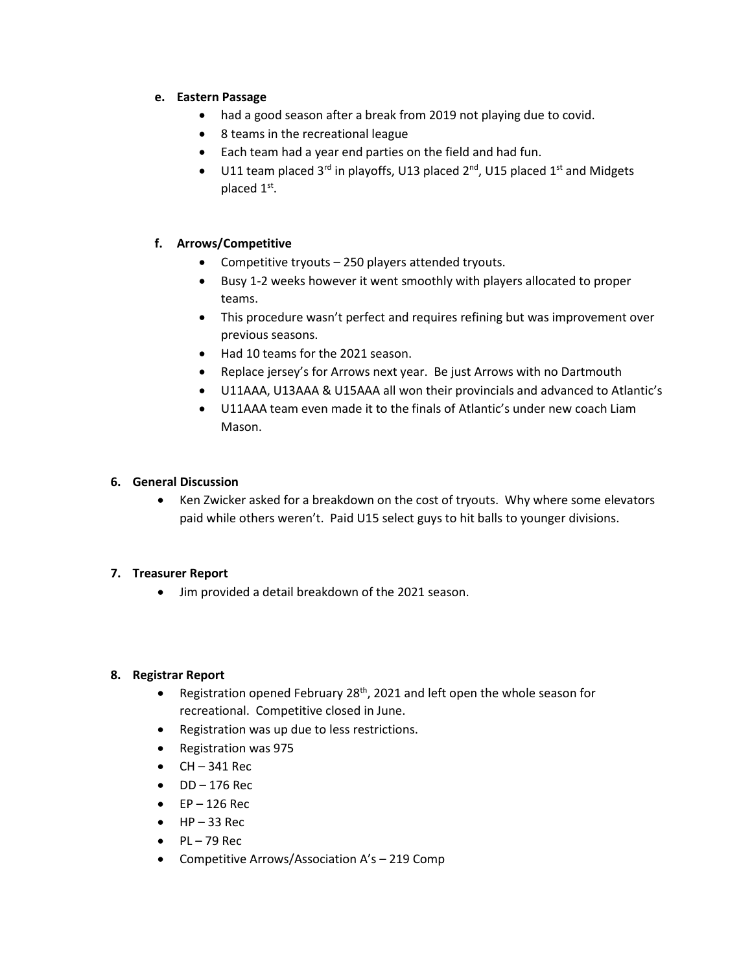## **e. Eastern Passage**

- had a good season after a break from 2019 not playing due to covid.
- 8 teams in the recreational league
- Each team had a year end parties on the field and had fun.
- U11 team placed  $3^{rd}$  in playoffs, U13 placed  $2^{nd}$ , U15 placed  $1^{st}$  and Midgets placed 1st.

# **f. Arrows/Competitive**

- Competitive tryouts 250 players attended tryouts.
- Busy 1-2 weeks however it went smoothly with players allocated to proper teams.
- This procedure wasn't perfect and requires refining but was improvement over previous seasons.
- Had 10 teams for the 2021 season.
- Replace jersey's for Arrows next year. Be just Arrows with no Dartmouth
- U11AAA, U13AAA & U15AAA all won their provincials and advanced to Atlantic's
- U11AAA team even made it to the finals of Atlantic's under new coach Liam Mason.

## **6. General Discussion**

• Ken Zwicker asked for a breakdown on the cost of tryouts. Why where some elevators paid while others weren't. Paid U15 select guys to hit balls to younger divisions.

# **7. Treasurer Report**

• Jim provided a detail breakdown of the 2021 season.

#### **8. Registrar Report**

- Registration opened February 28<sup>th</sup>, 2021 and left open the whole season for recreational. Competitive closed in June.
- Registration was up due to less restrictions.
- Registration was 975
- $\bullet$  CH 341 Rec
- $\bullet$  DD  $-176$  Rec
- $\bullet$  EP 126 Rec
- $\bullet$  HP 33 Rec
- $\bullet$  PL 79 Rec
- Competitive Arrows/Association A's 219 Comp